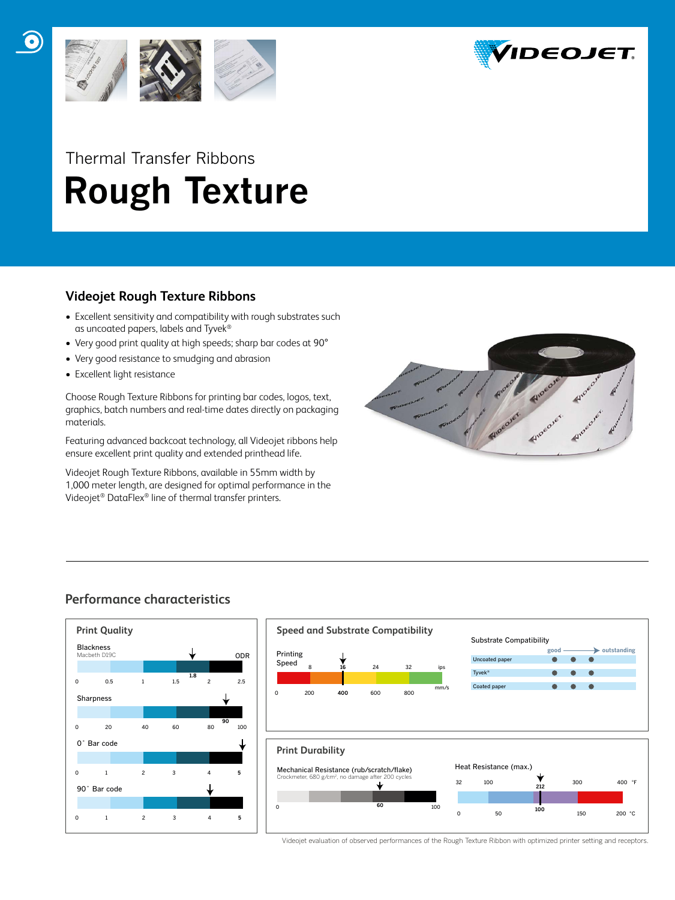

# Thermal Transfer Ribbons  **Rough Texture**

#### **Videojet Rough Texture Ribbons**

- Excellent sensitivity and compatibility with rough substrates such as uncoated papers, labels and Tyvek®
- Very good print quality at high speeds; sharp bar codes at 90°
- Very good resistance to smudging and abrasion
- Excellent light resistance

Choose Rough Texture Ribbons for printing bar codes, logos, text, graphics, batch numbers and real-time dates directly on packaging materials.

Featuring advanced backcoat technology, all Videojet ribbons help ensure excellent print quality and extended printhead life.

Videojet Rough Texture Ribbons, available in 55mm width by 1,000 meter length, are designed for optimal performance in the Videojet® DataFlex® line of thermal transfer printers.



# **Performance characteristics**





Videojet evaluation of observed performances of the Rough Texture Ribbon with optimized printer setting and receptors.